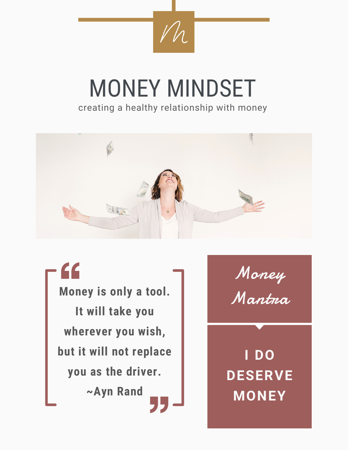

# MONEY MINDSET creating a healthy relationship with money



 $\epsilon$ **Money is only a tool. It will take you wherever you wish, but it will not replace you as the driver. ~Ayn Rand**

Money Mantra

**I DO DESERVE MONEY**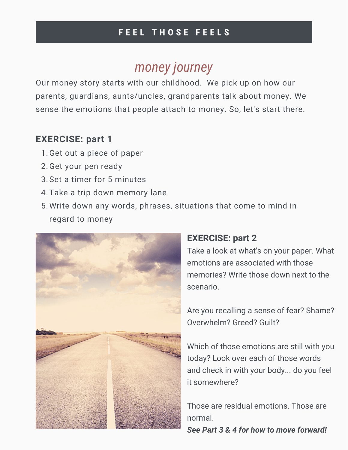### **F E E L T H O S E F E E L S**

### *money journey*

Our money story starts with our childhood. We pick up on how our parents, guardians, aunts/uncles, grandparents talk about money. We sense the emotions that people attach to money. So, let's start there.

### **EXERCISE: part 1**

- 1. Get out a piece of paper
- 2. Get your pen ready
- Set a timer for 5 minutes 3.
- 4. Take a trip down memory lane
- Write down any words, phrases, situations that come to mind in 5. regard to money



### **EXERCISE: part 2**

Take a look at what's on your paper. What emotions are associated with those memories? Write those down next to the scenario.

Are you recalling a sense of fear? Shame? Overwhelm? Greed? Guilt?

Which of those emotions are still with you today? Look over each of those words and check in with your body... do you feel it somewhere?

Those are residual emotions. Those are normal.

*See Part 3 & 4 for how to move forward!*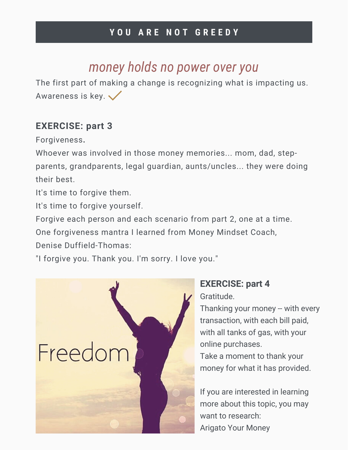### **Y O U A R E N O T G R E E D Y**

### *money holds no power over you*

The first part of making a change is recognizing what is impacting us. Awareness is key.

#### **EXERCISE: part 3**

Forgiveness**.**

Whoever was involved in those money memories... mom, dad, stepparents, grandparents, legal guardian, aunts/uncles... they were doing their best.

It's time to forgive them.

It's time to forgive yourself.

Forgive each person and each scenario from part 2, one at a time.

One forgiveness mantra I learned from Money Mindset Coach,

Denise Duffield-Thomas:

"I forgive you. Thank you. I'm sorry. I love you."



#### **EXERCISE: part 4** Gratitude.

Thanking your money -- with every transaction, with each bill paid, with all tanks of gas, with your online purchases.

Take a moment to thank your money for what it has provided.

If you are interested in learning more about this topic, you may want to research: Arigato Your Money